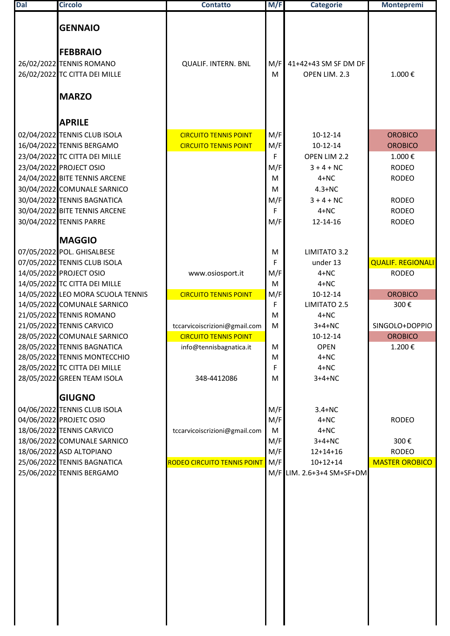| <b>Dal</b> | <b>Circolo</b>                                                   | <b>Contatto</b>                    | M/F        | <b>Categorie</b>           | <b>Montepremi</b>            |
|------------|------------------------------------------------------------------|------------------------------------|------------|----------------------------|------------------------------|
|            | <b>GENNAIO</b>                                                   |                                    |            |                            |                              |
|            | <b>FEBBRAIO</b>                                                  |                                    |            |                            |                              |
|            | 26/02/2022 TENNIS ROMANO                                         | <b>QUALIF. INTERN. BNL</b>         | M/F        | 41+42+43 SM SF DM DF       |                              |
|            | 26/02/2022 TC CITTA DEI MILLE                                    |                                    | м          | OPEN LIM. 2.3              | 1.000€                       |
|            |                                                                  |                                    |            |                            |                              |
|            | <b>MARZO</b>                                                     |                                    |            |                            |                              |
|            | <b>APRILE</b>                                                    |                                    |            |                            |                              |
|            | 02/04/2022 TENNIS CLUB ISOLA                                     | <b>CIRCUITO TENNIS POINT</b>       | M/F        | 10-12-14                   | <b>OROBICO</b>               |
|            | 16/04/2022 TENNIS BERGAMO                                        | <b>CIRCUITO TENNIS POINT</b>       | M/F        | $10-12-14$                 | <b>OROBICO</b>               |
|            | 23/04/2022 TC CITTA DEI MILLE                                    |                                    | F          | OPEN LIM 2.2               | 1.000€                       |
|            | 23/04/2022 PROJECT OSIO<br>24/04/2022 BITE TENNIS ARCENE         |                                    | M/F<br>M   | $3 + 4 + NC$<br>$4 + NC$   | <b>RODEO</b><br><b>RODEO</b> |
|            | 30/04/2022 COMUNALE SARNICO                                      |                                    | M          | $4.3+NC$                   |                              |
|            | 30/04/2022 TENNIS BAGNATICA                                      |                                    | M/F        | $3 + 4 + NC$               | <b>RODEO</b>                 |
|            | 30/04/2022 BITE TENNIS ARCENE                                    |                                    | F          | $4 + NC$                   | <b>RODEO</b>                 |
|            | 30/04/2022 TENNIS PARRE                                          |                                    | M/F        | 12-14-16                   | <b>RODEO</b>                 |
|            | <b>MAGGIO</b>                                                    |                                    |            |                            |                              |
|            | 07/05/2022 POL. GHISALBESE                                       |                                    | M          | LIMITATO 3.2               |                              |
|            | 07/05/2022 TENNIS CLUB ISOLA                                     |                                    | F          | under 13                   | <b>QUALIF. REGIONALI</b>     |
|            | 14/05/2022 PROJECT OSIO                                          | www.osiosport.it                   | M/F        | $4 + NC$                   | <b>RODEO</b>                 |
|            | 14/05/2022 TC CITTA DEI MILLE                                    |                                    | M          | $4 + NC$                   |                              |
|            | 14/05/2022 LEO MORA SCUOLA TENNIS<br>14/05/2022 COMUNALE SARNICO | <b>CIRCUITO TENNIS POINT</b>       | M/F<br>F   | $10-12-14$<br>LIMITATO 2.5 | <b>OROBICO</b><br>300€       |
|            | 21/05/2022 TENNIS ROMANO                                         |                                    | M          | $4 + NC$                   |                              |
|            | 21/05/2022 TENNIS CARVICO                                        | tccarvicoiscrizioni@gmail.com      | M          | $3+4+NC$                   | SINGOLO+DOPPIO               |
|            | 28/05/2022 COMUNALE SARNICO                                      | <b>CIRCUITO TENNIS POINT</b>       |            | 10-12-14                   | <b>OROBICO</b>               |
|            | 28/05/2022 TENNIS BAGNATICA                                      | info@tennisbagnatica.it            | M          | <b>OPEN</b>                | 1.200€                       |
|            | 28/05/2022 TENNIS MONTECCHIO                                     |                                    | M          | $4 + NC$                   |                              |
|            | 28/05/2022 TC CITTA DEI MILLE                                    |                                    | F          | $4 + NC$                   |                              |
|            | 28/05/2022 GREEN TEAM ISOLA                                      | 348-4412086                        | М          | $3+4+NC$                   |                              |
|            | <b>GIUGNO</b>                                                    |                                    |            |                            |                              |
|            | 04/06/2022 TENNIS CLUB ISOLA<br>04/06/2022 PROJETC OSIO          |                                    | M/F<br>M/F | $3.4 + NC$<br>$4 + NC$     | <b>RODEO</b>                 |
|            | 18/06/2022 TENNIS CARVICO                                        | tccarvicoiscrizioni@gmail.com      | M          | $4 + NC$                   |                              |
|            | 18/06/2022 COMUNALE SARNICO                                      |                                    | M/F        | $3+4+NC$                   | 300€                         |
|            | 18/06/2022 ASD ALTOPIANO                                         |                                    | M/F        | $12+14+16$                 | <b>RODEO</b>                 |
|            | 25/06/2022 TENNIS BAGNATICA                                      | <b>RODEO CIRCUITO TENNIS POINT</b> | M/F        | $10+12+14$                 | <b>MASTER OROBICO</b>        |
|            | 25/06/2022 TENNIS BERGAMO                                        |                                    |            | M/F LIM. 2.6+3+4 SM+SF+DM  |                              |
|            |                                                                  |                                    |            |                            |                              |
|            |                                                                  |                                    |            |                            |                              |
|            |                                                                  |                                    |            |                            |                              |
|            |                                                                  |                                    |            |                            |                              |
|            |                                                                  |                                    |            |                            |                              |
|            |                                                                  |                                    |            |                            |                              |
|            |                                                                  |                                    |            |                            |                              |
|            |                                                                  |                                    |            |                            |                              |
|            |                                                                  |                                    |            |                            |                              |